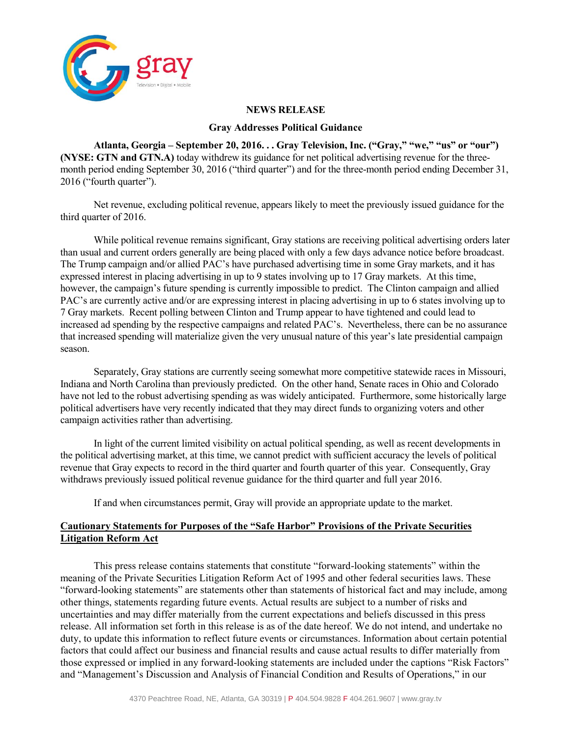

## **NEWS RELEASE**

## **Gray Addresses Political Guidance**

**Atlanta, Georgia – September 20, 2016. . . Gray Television, Inc. ("Gray," "we," "us" or "our") (NYSE: GTN and GTN.A)** today withdrew its guidance for net political advertising revenue for the threemonth period ending September 30, 2016 ("third quarter") and for the three-month period ending December 31, 2016 ("fourth quarter").

Net revenue, excluding political revenue, appears likely to meet the previously issued guidance for the third quarter of 2016.

While political revenue remains significant, Gray stations are receiving political advertising orders later than usual and current orders generally are being placed with only a few days advance notice before broadcast. The Trump campaign and/or allied PAC's have purchased advertising time in some Gray markets, and it has expressed interest in placing advertising in up to 9 states involving up to 17 Gray markets. At this time, however, the campaign's future spending is currently impossible to predict. The Clinton campaign and allied PAC's are currently active and/or are expressing interest in placing advertising in up to 6 states involving up to 7 Gray markets. Recent polling between Clinton and Trump appear to have tightened and could lead to increased ad spending by the respective campaigns and related PAC's. Nevertheless, there can be no assurance that increased spending will materialize given the very unusual nature of this year's late presidential campaign season.

Separately, Gray stations are currently seeing somewhat more competitive statewide races in Missouri, Indiana and North Carolina than previously predicted. On the other hand, Senate races in Ohio and Colorado have not led to the robust advertising spending as was widely anticipated. Furthermore, some historically large political advertisers have very recently indicated that they may direct funds to organizing voters and other campaign activities rather than advertising.

In light of the current limited visibility on actual political spending, as well as recent developments in the political advertising market, at this time, we cannot predict with sufficient accuracy the levels of political revenue that Gray expects to record in the third quarter and fourth quarter of this year. Consequently, Gray withdraws previously issued political revenue guidance for the third quarter and full year 2016.

If and when circumstances permit, Gray will provide an appropriate update to the market.

## **Cautionary Statements for Purposes of the "Safe Harbor" Provisions of the Private Securities Litigation Reform Act**

This press release contains statements that constitute "forward-looking statements" within the meaning of the Private Securities Litigation Reform Act of 1995 and other federal securities laws. These "forward-looking statements" are statements other than statements of historical fact and may include, among other things, statements regarding future events. Actual results are subject to a number of risks and uncertainties and may differ materially from the current expectations and beliefs discussed in this press release. All information set forth in this release is as of the date hereof. We do not intend, and undertake no duty, to update this information to reflect future events or circumstances. Information about certain potential factors that could affect our business and financial results and cause actual results to differ materially from those expressed or implied in any forward-looking statements are included under the captions "Risk Factors" and "Management's Discussion and Analysis of Financial Condition and Results of Operations," in our